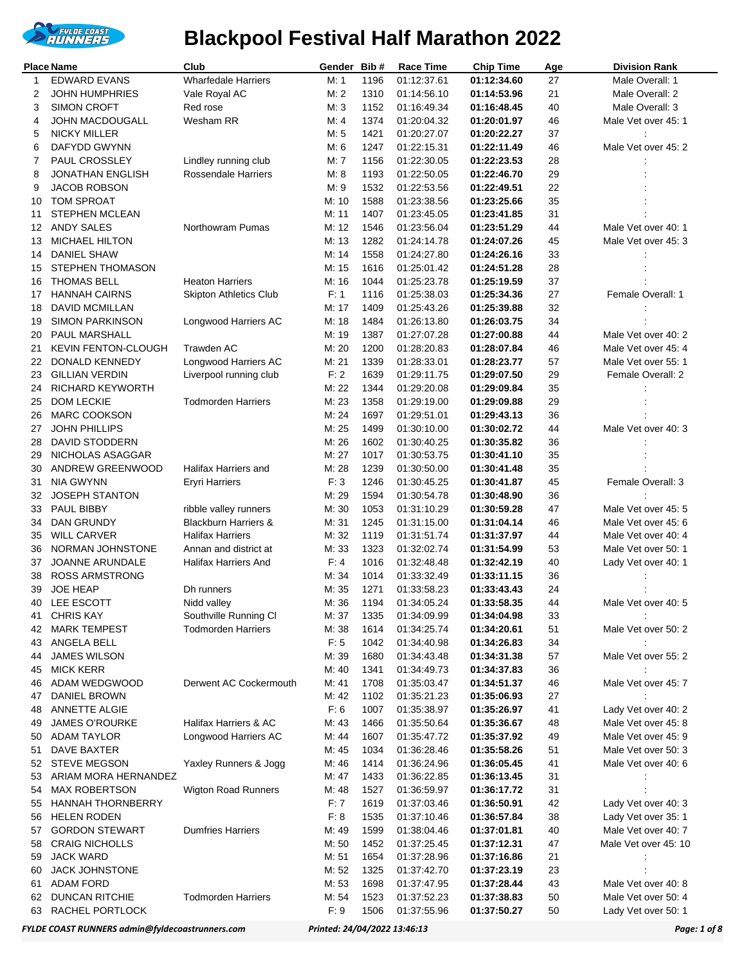

|              | <b>Place Name</b>                   | Club                                          | Gender Bib#    |              | Race Time                  | <b>Chip Time</b>           | Age      | <b>Division Rank</b>                       |
|--------------|-------------------------------------|-----------------------------------------------|----------------|--------------|----------------------------|----------------------------|----------|--------------------------------------------|
| $\mathbf{1}$ | <b>EDWARD EVANS</b>                 | <b>Wharfedale Harriers</b>                    | M: 1           | 1196         | 01:12:37.61                | 01:12:34.60                | 27       | Male Overall: 1                            |
| 2            | <b>JOHN HUMPHRIES</b>               | Vale Royal AC                                 | M: 2           | 1310         | 01:14:56.10                | 01:14:53.96                | 21       | Male Overall: 2                            |
| 3            | <b>SIMON CROFT</b>                  | Red rose                                      | M:3            | 1152         | 01:16:49.34                | 01:16:48.45                | 40       | Male Overall: 3                            |
| 4            | JOHN MACDOUGALL                     | Wesham RR                                     | M: 4           | 1374         | 01:20:04.32                | 01:20:01.97                | 46       | Male Vet over 45: 1                        |
| 5            | <b>NICKY MILLER</b>                 |                                               | M: 5           | 1421         | 01:20:27.07                | 01:20:22.27                | 37       |                                            |
| 6            | <b>DAFYDD GWYNN</b>                 |                                               | M: 6           | 1247         | 01:22:15.31                | 01:22:11.49                | 46       | Male Vet over 45: 2                        |
| 7            | PAUL CROSSLEY                       | Lindley running club                          | M: 7           | 1156         | 01:22:30.05                | 01:22:23.53                | 28       |                                            |
| 8            | <b>JONATHAN ENGLISH</b>             | <b>Rossendale Harriers</b>                    | M: 8           | 1193         | 01:22:50.05                | 01:22:46.70                | 29       |                                            |
| 9            | <b>JACOB ROBSON</b>                 |                                               | M: 9           | 1532         | 01:22:53.56                | 01:22:49.51                | 22       |                                            |
| 10           | <b>TOM SPROAT</b>                   |                                               | M: 10          | 1588         | 01:23:38.56                | 01:23:25.66                | 35       |                                            |
| 11           | <b>STEPHEN MCLEAN</b>               |                                               | M: 11          | 1407         | 01:23:45.05                | 01:23:41.85                | 31       |                                            |
| 12<br>13     | ANDY SALES<br><b>MICHAEL HILTON</b> | Northowram Pumas                              | M: 12<br>M: 13 | 1546<br>1282 | 01:23:56.04                | 01:23:51.29                | 44<br>45 | Male Vet over 40: 1<br>Male Vet over 45: 3 |
| 14           | <b>DANIEL SHAW</b>                  |                                               | M: 14          | 1558         | 01:24:14.78<br>01:24:27.80 | 01:24:07.26<br>01:24:26.16 | 33       |                                            |
| 15           | <b>STEPHEN THOMASON</b>             |                                               | M: 15          | 1616         | 01:25:01.42                | 01:24:51.28                | 28       |                                            |
| 16           | <b>THOMAS BELL</b>                  | <b>Heaton Harriers</b>                        | M: 16          | 1044         | 01:25:23.78                | 01:25:19.59                | 37       |                                            |
| 17           | <b>HANNAH CAIRNS</b>                | <b>Skipton Athletics Club</b>                 | F: 1           | 1116         | 01:25:38.03                | 01:25:34.36                | 27       | Female Overall: 1                          |
| 18           | <b>DAVID MCMILLAN</b>               |                                               | M: 17          | 1409         | 01:25:43.26                | 01:25:39.88                | 32       |                                            |
| 19           | <b>SIMON PARKINSON</b>              | Longwood Harriers AC                          | M: 18          | 1484         | 01:26:13.80                | 01:26:03.75                | 34       |                                            |
| 20           | PAUL MARSHALL                       |                                               | M: 19          | 1387         | 01:27:07.28                | 01:27:00.88                | 44       | Male Vet over 40: 2                        |
| 21           | <b>KEVIN FENTON-CLOUGH</b>          | Trawden AC                                    | M: 20          | 1200         | 01:28:20.83                | 01:28:07.84                | 46       | Male Vet over 45: 4                        |
| 22           | DONALD KENNEDY                      | Longwood Harriers AC                          | M: 21          | 1339         | 01:28:33.01                | 01:28:23.77                | 57       | Male Vet over 55: 1                        |
| 23           | <b>GILLIAN VERDIN</b>               | Liverpool running club                        | F: 2           | 1639         | 01:29:11.75                | 01:29:07.50                | 29       | Female Overall: 2                          |
| 24           | RICHARD KEYWORTH                    |                                               | M: 22          | 1344         | 01:29:20.08                | 01:29:09.84                | 35       |                                            |
| 25           | <b>DOM LECKIE</b>                   | <b>Todmorden Harriers</b>                     | M: 23          | 1358         | 01:29:19.00                | 01:29:09.88                | 29       |                                            |
| 26           | <b>MARC COOKSON</b>                 |                                               | M: 24          | 1697         | 01:29:51.01                | 01:29:43.13                | 36       |                                            |
| 27           | <b>JOHN PHILLIPS</b>                |                                               | M: 25          | 1499         | 01:30:10.00                | 01:30:02.72                | 44       | Male Vet over 40: 3                        |
| 28           | DAVID STODDERN                      |                                               | M: 26          | 1602         | 01:30:40.25                | 01:30:35.82                | 36       |                                            |
| 29           | NICHOLAS ASAGGAR                    |                                               | M: 27          | 1017         | 01:30:53.75                | 01:30:41.10                | 35       |                                            |
| 30           | ANDREW GREENWOOD                    | Halifax Harriers and                          | M: 28          | 1239         | 01:30:50.00                | 01:30:41.48                | 35       |                                            |
| 31           | <b>NIA GWYNN</b>                    | <b>Eryri Harriers</b>                         | F: 3           | 1246         | 01:30:45.25                | 01:30:41.87                | 45       | Female Overall: 3                          |
| 32           | <b>JOSEPH STANTON</b>               |                                               | M: 29          | 1594         | 01:30:54.78                | 01:30:48.90                | 36       |                                            |
| 33           | PAUL BIBBY                          | ribble valley runners                         | M: 30          | 1053         | 01:31:10.29                | 01:30:59.28                | 47       | Male Vet over 45: 5                        |
| 34           | DAN GRUNDY                          | <b>Blackburn Harriers &amp;</b>               | M: 31          | 1245         | 01:31:15.00                | 01:31:04.14                | 46       | Male Vet over 45: 6                        |
| 35           | <b>WILL CARVER</b>                  | <b>Halifax Harriers</b>                       | M: 32          | 1119         | 01:31:51.74                | 01:31:37.97                | 44       | Male Vet over 40: 4                        |
| 36<br>37     | NORMAN JOHNSTONE<br>JOANNE ARUNDALE | Annan and district at<br>Halifax Harriers And | M: 33<br>F: 4  | 1323<br>1016 | 01:32:02.74                | 01:31:54.99<br>01:32:42.19 | 53<br>40 | Male Vet over 50: 1                        |
| 38           | <b>ROSS ARMSTRONG</b>               |                                               | M: 34          | 1014         | 01:32:48.48<br>01:33:32.49 | 01:33:11.15                | 36       | Lady Vet over 40: 1                        |
| 39           | <b>JOE HEAP</b>                     | Dh runners                                    | M: 35          | 1271         | 01:33:58.23                | 01:33:43.43                | 24       |                                            |
|              | 40 LEE ESCOTT                       | Nidd valley                                   | M: 36          | 1194         | 01:34:05.24                | 01:33:58.35                | 44       | Male Vet over 40: 5                        |
| 41           | <b>CHRIS KAY</b>                    | Southville Running Cl                         | M: 37          | 1335         | 01:34:09.99                | 01:34:04.98                | 33       |                                            |
| 42           | <b>MARK TEMPEST</b>                 | <b>Todmorden Harriers</b>                     | M: 38          | 1614         | 01:34:25.74                | 01:34:20.61                | 51       | Male Vet over 50: 2                        |
| 43           | ANGELA BELL                         |                                               | F: 5           | 1042         | 01:34:40.98                | 01:34:26.83                | 34       |                                            |
| 44           | <b>JAMES WILSON</b>                 |                                               | M: 39          | 1680         | 01:34:43.48                | 01:34:31.38                | 57       | Male Vet over 55: 2                        |
| 45           | <b>MICK KERR</b>                    |                                               | M: 40          | 1341         | 01:34:49.73                | 01:34:37.83                | 36       |                                            |
| 46           | ADAM WEDGWOOD                       | Derwent AC Cockermouth                        | M: 41          | 1708         | 01:35:03.47                | 01:34:51.37                | 46       | Male Vet over 45: 7                        |
| 47           | DANIEL BROWN                        |                                               | M: 42          | 1102         | 01:35:21.23                | 01:35:06.93                | 27       |                                            |
| 48           | ANNETTE ALGIE                       |                                               | F: 6           | 1007         | 01:35:38.97                | 01:35:26.97                | 41       | Lady Vet over 40: 2                        |
| 49           | <b>JAMES O'ROURKE</b>               | Halifax Harriers & AC                         | M: 43          | 1466         | 01:35:50.64                | 01:35:36.67                | 48       | Male Vet over 45: 8                        |
| 50           | <b>ADAM TAYLOR</b>                  | Longwood Harriers AC                          | M: 44          | 1607         | 01:35:47.72                | 01:35:37.92                | 49       | Male Vet over 45: 9                        |
| 51           | <b>DAVE BAXTER</b>                  |                                               | M: 45          | 1034         | 01:36:28.46                | 01:35:58.26                | 51       | Male Vet over 50: 3                        |
| 52           | <b>STEVE MEGSON</b>                 | Yaxley Runners & Jogg                         | M: 46          | 1414         | 01:36:24.96                | 01:36:05.45                | 41       | Male Vet over 40: 6                        |
| 53           | ARIAM MORA HERNANDEZ                |                                               | M: 47          | 1433         | 01:36:22.85                | 01:36:13.45                | 31       |                                            |
| 54           | <b>MAX ROBERTSON</b>                | <b>Wigton Road Runners</b>                    | M: 48          | 1527         | 01:36:59.97                | 01:36:17.72                | 31       |                                            |
| 55           | <b>HANNAH THORNBERRY</b>            |                                               | F: 7           | 1619         | 01:37:03.46                | 01:36:50.91                | 42       | Lady Vet over 40: 3                        |
| 56           | <b>HELEN RODEN</b>                  |                                               | F: 8           | 1535         | 01:37:10.46                | 01:36:57.84                | 38       | Lady Vet over 35: 1                        |
| 57           | <b>GORDON STEWART</b>               | <b>Dumfries Harriers</b>                      | M: 49          | 1599         | 01:38:04.46                | 01:37:01.81                | 40       | Male Vet over 40: 7                        |
| 58<br>59     | <b>CRAIG NICHOLLS</b><br>JACK WARD  |                                               | M: 50<br>M: 51 | 1452<br>1654 | 01:37:25.45<br>01:37:28.96 | 01:37:12.31<br>01:37:16.86 | 47<br>21 | Male Vet over 45: 10                       |
| 60           | <b>JACK JOHNSTONE</b>               |                                               | M: 52          | 1325         | 01:37:42.70                | 01:37:23.19                | 23       |                                            |
| 61           | <b>ADAM FORD</b>                    |                                               | M: 53          | 1698         | 01:37:47.95                | 01:37:28.44                | 43       | Male Vet over 40: 8                        |
| 62           | <b>DUNCAN RITCHIE</b>               | <b>Todmorden Harriers</b>                     | M: 54          | 1523         | 01:37:52.23                | 01:37:38.83                | 50       | Male Vet over 50: 4                        |
| 63           | RACHEL PORTLOCK                     |                                               | F: 9           | 1506         | 01:37:55.96                | 01:37:50.27                | 50       | Lady Vet over 50: 1                        |
|              |                                     |                                               |                |              |                            |                            |          |                                            |

*FYLDE COAST RUNNERS admin@fyldecoastrunners.com Printed: 24/04/2022 13:46:13 Page: 1 of 8*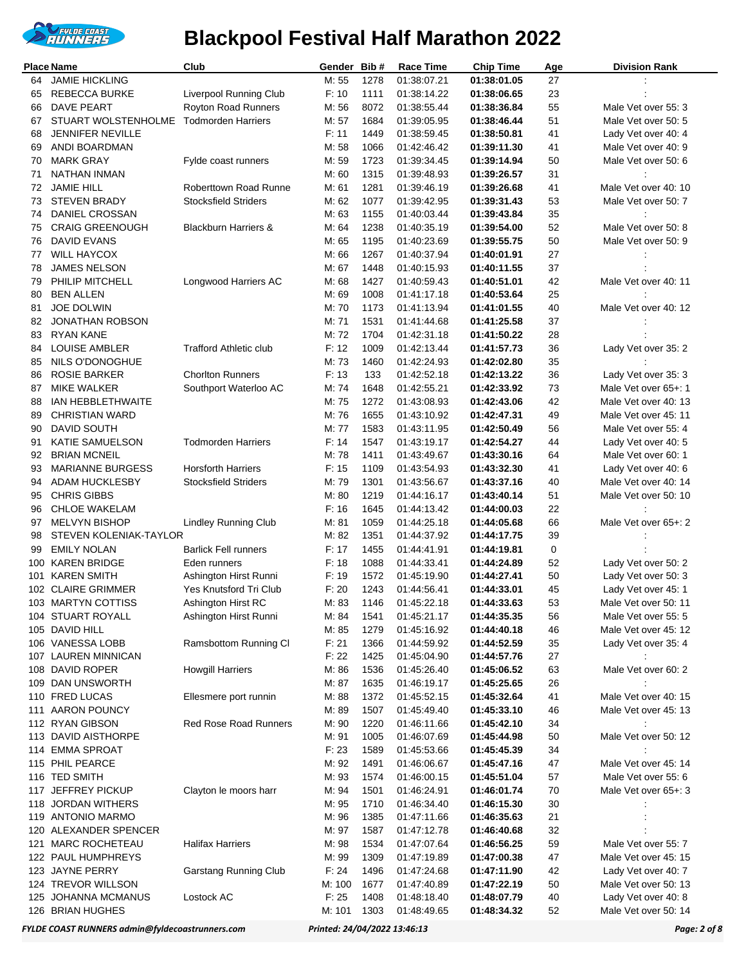

|          | Place Name                          | Club                            | Gender         | Bib#         | <b>Race Time</b>           | <b>Chip Time</b>           | <b>Age</b> | <b>Division Rank</b>                        |
|----------|-------------------------------------|---------------------------------|----------------|--------------|----------------------------|----------------------------|------------|---------------------------------------------|
|          | 64 JAMIE HICKLING                   |                                 | M: 55          | 1278         | 01:38:07.21                | 01:38:01.05                | 27         |                                             |
| 65       | <b>REBECCA BURKE</b>                | Liverpool Running Club          | F: 10          | 1111         | 01:38:14.22                | 01:38:06.65                | 23         |                                             |
| 66       | <b>DAVE PEART</b>                   | Royton Road Runners             | M: 56          | 8072         | 01:38:55.44                | 01:38:36.84                | 55         | Male Vet over 55: 3                         |
| 67       | STUART WOLSTENHOLME                 | <b>Todmorden Harriers</b>       | M: 57          | 1684         | 01:39:05.95                | 01:38:46.44                | 51         | Male Vet over 50: 5                         |
| 68       | <b>JENNIFER NEVILLE</b>             |                                 | F: 11          | 1449         | 01:38:59.45                | 01:38:50.81                | 41         | Lady Vet over 40: 4                         |
| 69       | ANDI BOARDMAN                       |                                 | M: 58          | 1066         | 01:42:46.42                | 01:39:11.30                | 41         | Male Vet over 40: 9                         |
| 70       | <b>MARK GRAY</b>                    | Fylde coast runners             | M: 59          | 1723         | 01:39:34.45                | 01:39:14.94                | 50         | Male Vet over 50: 6                         |
| 71       | NATHAN INMAN                        |                                 | M: 60          | 1315         | 01:39:48.93                | 01:39:26.57                | 31         |                                             |
| 72       | <b>JAMIE HILL</b>                   | <b>Roberttown Road Runne</b>    | M: 61          | 1281         | 01:39:46.19                | 01:39:26.68                | 41         | Male Vet over 40: 10                        |
| 73       | <b>STEVEN BRADY</b>                 | <b>Stocksfield Striders</b>     | M: 62          | 1077         | 01:39:42.95                | 01:39:31.43                | 53         | Male Vet over 50: 7                         |
| 74       | DANIEL CROSSAN                      |                                 | M: 63          | 1155         | 01:40:03.44                | 01:39:43.84                | 35         |                                             |
| 75       | <b>CRAIG GREENOUGH</b>              | <b>Blackburn Harriers &amp;</b> | M: 64          | 1238         | 01:40:35.19                | 01:39:54.00                | 52         | Male Vet over 50: 8                         |
| 76       | DAVID EVANS<br><b>WILL HAYCOX</b>   |                                 | M: 65<br>M: 66 | 1195<br>1267 | 01:40:23.69                | 01:39:55.75                | 50<br>27   | Male Vet over 50: 9                         |
| 77<br>78 | <b>JAMES NELSON</b>                 |                                 | M: 67          | 1448         | 01:40:37.94                | 01:40:01.91                | 37         |                                             |
| 79       | PHILIP MITCHELL                     | Longwood Harriers AC            | M: 68          | 1427         | 01:40:15.93<br>01:40:59.43 | 01:40:11.55<br>01:40:51.01 | 42         | Male Vet over 40: 11                        |
| 80       | <b>BEN ALLEN</b>                    |                                 | M: 69          | 1008         | 01:41:17.18                | 01:40:53.64                | 25         |                                             |
| 81       | <b>JOE DOLWIN</b>                   |                                 | M: 70          | 1173         | 01:41:13.94                | 01:41:01.55                | 40         | Male Vet over 40: 12                        |
| 82       | <b>JONATHAN ROBSON</b>              |                                 | M: 71          | 1531         | 01:41:44.68                | 01:41:25.58                | 37         |                                             |
| 83       | <b>RYAN KANE</b>                    |                                 | M: 72          | 1704         | 01:42:31.18                | 01:41:50.22                | 28         |                                             |
| 84       | <b>LOUISE AMBLER</b>                | <b>Trafford Athletic club</b>   | F: 12          | 1009         | 01:42:13.44                | 01:41:57.73                | 36         | Lady Vet over 35: 2                         |
| 85       | NILS O'DONOGHUE                     |                                 | M: 73          | 1460         | 01:42:24.93                | 01:42:02.80                | 35         |                                             |
| 86       | <b>ROSIE BARKER</b>                 | <b>Chorlton Runners</b>         | F: 13          | 133          | 01:42:52.18                | 01:42:13.22                | 36         | Lady Vet over 35: 3                         |
| 87       | <b>MIKE WALKER</b>                  | Southport Waterloo AC           | M: 74          | 1648         | 01:42:55.21                | 01:42:33.92                | 73         | Male Vet over 65+: 1                        |
| 88       | <b>IAN HEBBLETHWAITE</b>            |                                 | M: 75          | 1272         | 01:43:08.93                | 01:42:43.06                | 42         | Male Vet over 40: 13                        |
| 89       | <b>CHRISTIAN WARD</b>               |                                 | M: 76          | 1655         | 01:43:10.92                | 01:42:47.31                | 49         | Male Vet over 45: 11                        |
| 90       | DAVID SOUTH                         |                                 | M: 77          | 1583         | 01:43:11.95                | 01:42:50.49                | 56         | Male Vet over 55: 4                         |
| 91       | KATIE SAMUELSON                     | <b>Todmorden Harriers</b>       | F: 14          | 1547         | 01:43:19.17                | 01:42:54.27                | 44         | Lady Vet over 40: 5                         |
| 92       | <b>BRIAN MCNEIL</b>                 |                                 | M: 78          | 1411         | 01:43:49.67                | 01:43:30.16                | 64         | Male Vet over 60: 1                         |
| 93       | <b>MARIANNE BURGESS</b>             | <b>Horsforth Harriers</b>       | F: 15          | 1109         | 01:43:54.93                | 01:43:32.30                | 41         | Lady Vet over 40: 6                         |
| 94       | <b>ADAM HUCKLESBY</b>               | <b>Stocksfield Striders</b>     | M: 79          | 1301         | 01:43:56.67                | 01:43:37.16                | 40         | Male Vet over 40: 14                        |
| 95       | <b>CHRIS GIBBS</b>                  |                                 | M: 80          | 1219         | 01:44:16.17                | 01:43:40.14                | 51         | Male Vet over 50: 10                        |
| 96       | <b>CHLOE WAKELAM</b>                |                                 | F: 16          | 1645         | 01:44:13.42                | 01:44:00.03                | 22         |                                             |
| 97       | <b>MELVYN BISHOP</b>                | <b>Lindley Running Club</b>     | M: 81          | 1059         | 01:44:25.18                | 01:44:05.68                | 66         | Male Vet over 65+: 2                        |
| 98       | <b>STEVEN KOLENIAK-TAYLOR</b>       |                                 | M: 82          | 1351         | 01:44:37.92                | 01:44:17.75                | 39         |                                             |
| 99       | <b>EMILY NOLAN</b>                  | <b>Barlick Fell runners</b>     | F: 17          | 1455         | 01:44:41.91                | 01:44:19.81                | 0          |                                             |
| 100      | <b>KAREN BRIDGE</b>                 | Eden runners                    | F: 18          | 1088         | 01:44:33.41                | 01:44:24.89                | 52         | Lady Vet over 50: 2                         |
| 101      | <b>KAREN SMITH</b>                  | Ashington Hirst Runni           | F: 19          | 1572         | 01:45:19.90                | 01:44:27.41                | 50         | Lady Vet over 50: 3                         |
|          | 102 CLAIRE GRIMMER                  | Yes Knutsford Tri Club          | F: 20          | 1243         | 01:44:56.41                | 01:44:33.01                | 45         | Lady Vet over 45: 1                         |
|          | 103 MARTYN COTTISS                  | Ashington Hirst RC              | M: 83          | 1146         | 01:45:22.18                | 01:44:33.63                | 53         | Male Vet over 50: 11                        |
|          | 104 STUART ROYALL<br>105 DAVID HILL | Ashington Hirst Runni           | M: 84<br>M: 85 | 1541<br>1279 | 01:45:21.17<br>01:45:16.92 | 01:44:35.35                | 56<br>46   | Male Vet over 55: 5<br>Male Vet over 45: 12 |
|          | 106 VANESSA LOBB                    | Ramsbottom Running Cl           | F: 21          | 1366         | 01:44:59.92                | 01:44:40.18<br>01:44:52.59 | 35         | Lady Vet over 35: 4                         |
|          | 107 LAUREN MINNICAN                 |                                 | F: 22          | 1425         | 01:45:04.90                | 01:44:57.76                | 27         |                                             |
|          | 108 DAVID ROPER                     | <b>Howgill Harriers</b>         | M: 86          | 1536         | 01:45:26.40                | 01:45:06.52                | 63         | Male Vet over 60: 2                         |
|          | 109 DAN UNSWORTH                    |                                 | M: 87          | 1635         | 01:46:19.17                | 01:45:25.65                | 26         |                                             |
|          | 110 FRED LUCAS                      | Ellesmere port runnin           | M: 88          | 1372         | 01:45:52.15                | 01:45:32.64                | 41         | Male Vet over 40: 15                        |
|          | 111 AARON POUNCY                    |                                 | M: 89          | 1507         | 01:45:49.40                | 01:45:33.10                | 46         | Male Vet over 45: 13                        |
|          | 112 RYAN GIBSON                     | <b>Red Rose Road Runners</b>    | M: 90          | 1220         | 01:46:11.66                | 01:45:42.10                | 34         |                                             |
|          | 113 DAVID AISTHORPE                 |                                 | M: 91          | 1005         | 01:46:07.69                | 01:45:44.98                | 50         | Male Vet over 50: 12                        |
|          | 114 EMMA SPROAT                     |                                 | F: 23          | 1589         | 01:45:53.66                | 01:45:45.39                | 34         |                                             |
|          | 115 PHIL PEARCE                     |                                 | M: 92          | 1491         | 01:46:06.67                | 01:45:47.16                | 47         | Male Vet over 45: 14                        |
|          | 116 TED SMITH                       |                                 | M: 93          | 1574         | 01:46:00.15                | 01:45:51.04                | 57         | Male Vet over 55: 6                         |
|          | 117 JEFFREY PICKUP                  | Clayton le moors harr           | M: 94          | 1501         | 01:46:24.91                | 01:46:01.74                | 70         | Male Vet over 65+: 3                        |
|          | 118 JORDAN WITHERS                  |                                 | M: 95          | 1710         | 01:46:34.40                | 01:46:15.30                | 30         |                                             |
|          | 119 ANTONIO MARMO                   |                                 | M: 96          | 1385         | 01:47:11.66                | 01:46:35.63                | 21         |                                             |
|          | 120 ALEXANDER SPENCER               |                                 | M: 97          | 1587         | 01:47:12.78                | 01:46:40.68                | 32         |                                             |
| 121      | <b>MARC ROCHETEAU</b>               | <b>Halifax Harriers</b>         | M: 98          | 1534         | 01:47:07.64                | 01:46:56.25                | 59         | Male Vet over 55: 7                         |
|          | 122 PAUL HUMPHREYS                  |                                 | M: 99          | 1309         | 01:47:19.89                | 01:47:00.38                | 47         | Male Vet over 45: 15                        |
|          | 123 JAYNE PERRY                     | Garstang Running Club           | F: 24          | 1496         | 01:47:24.68                | 01:47:11.90                | 42         | Lady Vet over 40: 7                         |
|          | 124 TREVOR WILLSON                  |                                 | M: 100         | 1677         | 01:47:40.89                | 01:47:22.19                | 50         | Male Vet over 50: 13                        |
|          | 125 JOHANNA MCMANUS                 | Lostock AC                      | F: 25          | 1408         | 01:48:18.40                | 01:48:07.79                | 40         | Lady Vet over 40: 8                         |
|          | 126 BRIAN HUGHES                    |                                 | M: 101         | 1303         | 01:48:49.65                | 01:48:34.32                | 52         | Male Vet over 50: 14                        |

*FYLDE COAST RUNNERS admin@fyldecoastrunners.com Printed: 24/04/2022 13:46:13 Page: 2 of 8*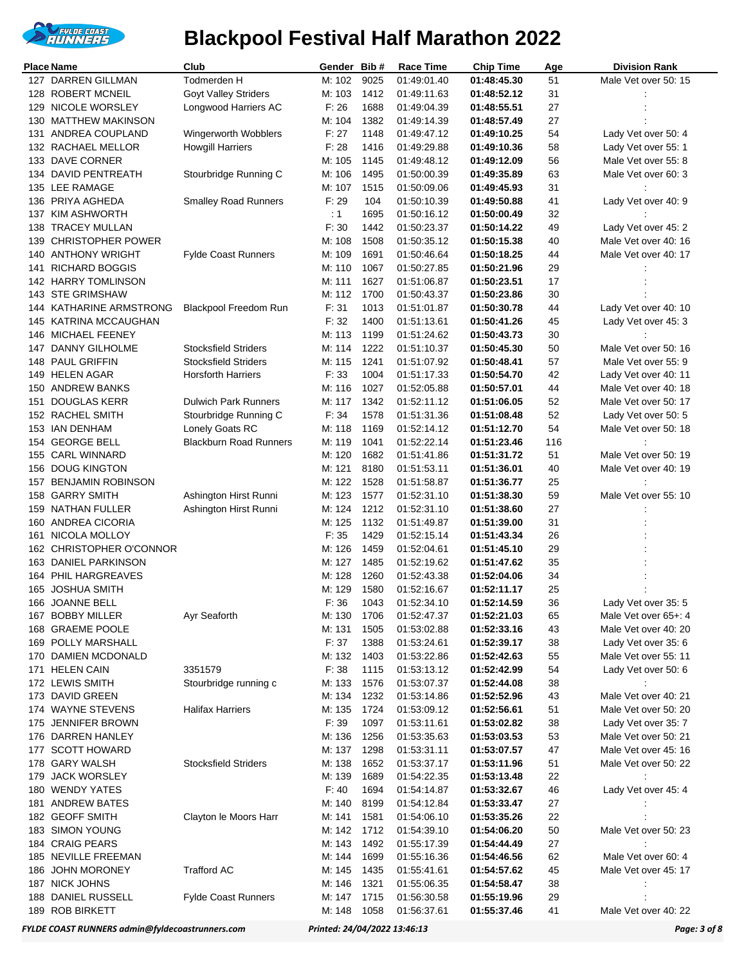

|     | <b>Place Name</b>                       | Club                          | Gender Bib#     |              | <b>Race Time</b>           | <b>Chip Time</b>           | Age      | <b>Division Rank</b> |
|-----|-----------------------------------------|-------------------------------|-----------------|--------------|----------------------------|----------------------------|----------|----------------------|
|     | 127 DARREN GILLMAN                      | Todmerden H                   | M: 102          | 9025         | 01:49:01.40                | 01:48:45.30                | 51       | Male Vet over 50: 15 |
| 128 | <b>ROBERT MCNEIL</b>                    | <b>Goyt Valley Striders</b>   | M: 103          | 1412         | 01:49:11.63                | 01:48:52.12                | 31       |                      |
| 129 | NICOLE WORSLEY                          | Longwood Harriers AC          | F: 26           | 1688         | 01:49:04.39                | 01:48:55.51                | 27       |                      |
|     | 130 MATTHEW MAKINSON                    |                               | M: 104          | 1382         | 01:49:14.39                | 01:48:57.49                | 27       |                      |
| 131 | ANDREA COUPLAND                         | Wingerworth Wobblers          | F: 27           | 1148         | 01:49:47.12                | 01:49:10.25                | 54       | Lady Vet over 50: 4  |
|     | 132 RACHAEL MELLOR                      | <b>Howgill Harriers</b>       | F: 28           | 1416         | 01:49:29.88                | 01:49:10.36                | 58       | Lady Vet over 55: 1  |
|     | 133 DAVE CORNER                         |                               | M: 105          | 1145         | 01:49:48.12                | 01:49:12.09                | 56       | Male Vet over 55: 8  |
| 134 | DAVID PENTREATH                         | Stourbridge Running C         | M: 106          | 1495         | 01:50:00.39                | 01:49:35.89                | 63       | Male Vet over 60: 3  |
|     | 135 LEE RAMAGE                          |                               | M: 107          | 1515         | 01:50:09.06                | 01:49:45.93                | 31       |                      |
|     | 136 PRIYA AGHEDA                        | <b>Smalley Road Runners</b>   | F: 29           | 104          | 01:50:10.39                | 01:49:50.88                | 41       | Lady Vet over 40: 9  |
|     | 137 KIM ASHWORTH                        |                               | $\therefore$ 1  | 1695         | 01:50:16.12                | 01:50:00.49                | 32       |                      |
| 138 | <b>TRACEY MULLAN</b>                    |                               | F: 30           | 1442         | 01:50:23.37                | 01:50:14.22                | 49       | Lady Vet over 45: 2  |
| 139 | <b>CHRISTOPHER POWER</b>                |                               | M: 108          | 1508         | 01:50:35.12                | 01:50:15.38                | 40       | Male Vet over 40: 16 |
| 140 | <b>ANTHONY WRIGHT</b>                   | <b>Fylde Coast Runners</b>    | M: 109          | 1691         | 01:50:46.64                | 01:50:18.25                | 44       | Male Vet over 40: 17 |
| 141 | <b>RICHARD BOGGIS</b>                   |                               | M: 110          | 1067         | 01:50:27.85                | 01:50:21.96                | 29       |                      |
|     | 142 HARRY TOMLINSON<br>143 STE GRIMSHAW |                               | M: 111          | 1627<br>1700 | 01:51:06.87                | 01:50:23.51                | 17       |                      |
| 144 | KATHARINE ARMSTRONG                     | <b>Blackpool Freedom Run</b>  | M: 112<br>F: 31 | 1013         | 01:50:43.37<br>01:51:01.87 | 01:50:23.86<br>01:50:30.78 | 30<br>44 | Lady Vet over 40: 10 |
| 145 | KATRINA MCCAUGHAN                       |                               | F: 32           | 1400         | 01:51:13.61                | 01:50:41.26                | 45       | Lady Vet over 45: 3  |
| 146 | MICHAEL FEENEY                          |                               | M: 113          | 1199         | 01:51:24.62                | 01:50:43.73                | 30       |                      |
|     | 147 DANNY GILHOLME                      | <b>Stocksfield Striders</b>   | M: 114          | 1222         | 01:51:10.37                | 01:50:45.30                | 50       | Male Vet over 50: 16 |
|     | 148 PAUL GRIFFIN                        | <b>Stocksfield Striders</b>   | M: 115          | 1241         | 01:51:07.92                | 01:50:48.41                | 57       | Male Vet over 55: 9  |
|     | 149 HELEN AGAR                          | <b>Horsforth Harriers</b>     | F: 33           | 1004         | 01:51:17.33                | 01:50:54.70                | 42       | Lady Vet over 40: 11 |
| 150 | <b>ANDREW BANKS</b>                     |                               | M: 116          | 1027         | 01:52:05.88                | 01:50:57.01                | 44       | Male Vet over 40: 18 |
| 151 | <b>DOUGLAS KERR</b>                     | <b>Dulwich Park Runners</b>   | M: 117          | 1342         | 01:52:11.12                | 01:51:06.05                | 52       | Male Vet over 50: 17 |
|     | 152 RACHEL SMITH                        | Stourbridge Running C         | F: 34           | 1578         | 01:51:31.36                | 01:51:08.48                | 52       | Lady Vet over 50: 5  |
|     | 153 IAN DENHAM                          | Lonely Goats RC               | M: 118          | 1169         | 01:52:14.12                | 01:51:12.70                | 54       | Male Vet over 50: 18 |
| 154 | <b>GEORGE BELL</b>                      | <b>Blackburn Road Runners</b> | M: 119          | 1041         | 01:52:22.14                | 01:51:23.46                | 116      |                      |
| 155 | <b>CARL WINNARD</b>                     |                               | M: 120          | 1682         | 01:51:41.86                | 01:51:31.72                | 51       | Male Vet over 50: 19 |
| 156 | <b>DOUG KINGTON</b>                     |                               | M: 121          | 8180         | 01:51:53.11                | 01:51:36.01                | 40       | Male Vet over 40: 19 |
| 157 | <b>BENJAMIN ROBINSON</b>                |                               | M: 122          | 1528         | 01:51:58.87                | 01:51:36.77                | 25       |                      |
| 158 | <b>GARRY SMITH</b>                      | Ashington Hirst Runni         | M: 123          | 1577         | 01:52:31.10                | 01:51:38.30                | 59       | Male Vet over 55: 10 |
| 159 | NATHAN FULLER                           | Ashington Hirst Runni         | M: 124          | 1212         | 01:52:31.10                | 01:51:38.60                | 27       |                      |
|     | 160 ANDREA CICORIA                      |                               | M: 125          | 1132         | 01:51:49.87                | 01:51:39.00                | 31       |                      |
| 161 | NICOLA MOLLOY                           |                               | F: 35           | 1429         | 01:52:15.14                | 01:51:43.34                | 26       |                      |
|     | 162 CHRISTOPHER O'CONNOR                |                               | M: 126          | 1459         | 01:52:04.61                | 01:51:45.10                | 29       |                      |
|     | 163 DANIEL PARKINSON                    |                               | M: 127          | 1485         | 01:52:19.62                | 01:51:47.62                | 35       |                      |
| 164 | PHIL HARGREAVES                         |                               | M: 128          | 1260         | 01:52:43.38                | 01:52:04.06                | 34       |                      |
| 165 | <b>JOSHUA SMITH</b>                     |                               | M: 129          | 1580         | 01:52:16.67                | 01:52:11.17                | 25       |                      |
|     | 166 JOANNE BELL                         |                               | F: 36           | 1043         | 01:52:34.10                | 01:52:14.59                | 36       | Lady Vet over 35: 5  |
|     | 167 BOBBY MILLER                        | Ayr Seaforth                  | M: 130          | 1706         | 01:52:47.37                | 01:52:21.03                | 65       | Male Vet over 65+: 4 |
|     | 168 GRAEME POOLE                        |                               | M: 131          | 1505         | 01:53:02.88                | 01:52:33.16                | 43       | Male Vet over 40: 20 |
|     | 169 POLLY MARSHALL                      |                               | F: 37           | 1388         | 01:53:24.61                | 01:52:39.17                | 38       | Lady Vet over 35: 6  |
|     | 170 DAMIEN MCDONALD                     |                               | M: 132          | 1403         | 01:53:22.86                | 01:52:42.63                | 55       | Male Vet over 55: 11 |
|     | 171 HELEN CAIN                          | 3351579                       | F: 38           | 1115         | 01:53:13.12                | 01:52:42.99                | 54       | Lady Vet over 50: 6  |
|     | 172 LEWIS SMITH                         | Stourbridge running c         | M: 133          | 1576         | 01:53:07.37                | 01:52:44.08                | 38       |                      |
|     | 173 DAVID GREEN                         |                               | M: 134          | 1232         | 01:53:14.86                | 01:52:52.96                | 43       | Male Vet over 40: 21 |
|     | 174 WAYNE STEVENS                       | <b>Halifax Harriers</b>       | M: 135          | 1724         | 01:53:09.12                | 01:52:56.61                | 51       | Male Vet over 50: 20 |
| 175 | <b>JENNIFER BROWN</b>                   |                               | F: 39           | 1097         | 01:53:11.61                | 01:53:02.82                | 38       | Lady Vet over 35: 7  |
|     | 176 DARREN HANLEY                       |                               | M: 136          | 1256         | 01:53:35.63                | 01:53:03.53                | 53       | Male Vet over 50: 21 |
|     | 177 SCOTT HOWARD                        |                               | M: 137          | 1298         | 01:53:31.11                | 01:53:07.57                | 47       | Male Vet over 45: 16 |
|     | 178 GARY WALSH                          | <b>Stocksfield Striders</b>   | M: 138          | 1652         | 01:53:37.17                | 01:53:11.96                | 51       | Male Vet over 50: 22 |
| 179 | <b>JACK WORSLEY</b>                     |                               | M: 139          | 1689         | 01:54:22.35                | 01:53:13.48                | 22       |                      |
|     | 180 WENDY YATES                         |                               | F: 40           | 1694         | 01:54:14.87                | 01:53:32.67                | 46       | Lady Vet over 45: 4  |
| 181 | <b>ANDREW BATES</b>                     |                               | M: 140          | 8199         | 01:54:12.84                | 01:53:33.47                | 27       |                      |
|     | 182 GEOFF SMITH                         | Clayton le Moors Harr         | M: 141          | 1581         | 01:54:06.10                | 01:53:35.26                | 22       |                      |
|     | 183 SIMON YOUNG                         |                               | M: 142          | 1712         | 01:54:39.10                | 01:54:06.20                | 50       | Male Vet over 50: 23 |
|     | 184 CRAIG PEARS                         |                               | M: 143          | 1492         | 01:55:17.39                | 01:54:44.49                | 27       |                      |
|     | 185 NEVILLE FREEMAN                     |                               | M: 144          | 1699         | 01:55:16.36                | 01:54:46.56                | 62       | Male Vet over 60: 4  |
| 186 | <b>JOHN MORONEY</b>                     | <b>Trafford AC</b>            | M: 145          | 1435         | 01:55:41.61                | 01:54:57.62                | 45       | Male Vet over 45: 17 |
|     | 187 NICK JOHNS                          |                               | M: 146          | 1321         | 01:55:06.35                | 01:54:58.47                | 38       |                      |
| 188 | DANIEL RUSSELL                          | <b>Fylde Coast Runners</b>    | M: 147          | 1715         | 01:56:30.58                | 01:55:19.96                | 29       |                      |
|     | 189 ROB BIRKETT                         |                               | M: 148          | 1058         | 01:56:37.61                | 01:55:37.46                | 41       | Male Vet over 40: 22 |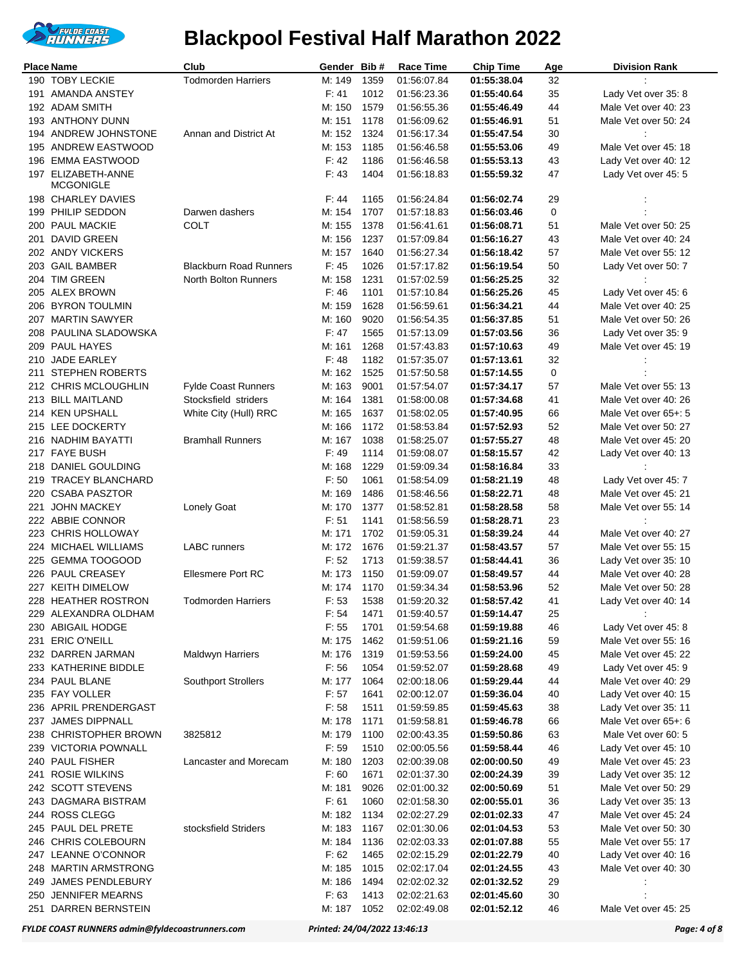

|     | <b>Place Name</b>                   | Club                          | Gender Bib#     |              | <b>Race Time</b>           | <b>Chip Time</b>           | <b>Age</b> | <b>Division Rank</b> |
|-----|-------------------------------------|-------------------------------|-----------------|--------------|----------------------------|----------------------------|------------|----------------------|
|     | 190 TOBY LECKIE                     | <b>Todmorden Harriers</b>     | M: 149          | 1359         | 01:56:07.84                | 01:55:38.04                | 32         |                      |
|     | 191 AMANDA ANSTEY                   |                               | F: 41           | 1012         | 01:56:23.36                | 01:55:40.64                | 35         | Lady Vet over 35: 8  |
|     | 192 ADAM SMITH                      |                               | M: 150          | 1579         | 01:56:55.36                | 01:55:46.49                | 44         | Male Vet over 40: 23 |
|     | 193 ANTHONY DUNN                    |                               | M: 151          | 1178         | 01:56:09.62                | 01:55:46.91                | 51         | Male Vet over 50: 24 |
|     | 194 ANDREW JOHNSTONE                | Annan and District At         | M: 152          | 1324         | 01:56:17.34                | 01:55:47.54                | 30         |                      |
|     | 195 ANDREW EASTWOOD                 |                               | M: 153          | 1185         | 01:56:46.58                | 01:55:53.06                | 49         | Male Vet over 45: 18 |
|     | 196 EMMA EASTWOOD                   |                               | F: 42           | 1186         | 01:56:46.58                | 01:55:53.13                | 43         | Lady Vet over 40: 12 |
|     | 197 ELIZABETH-ANNE                  |                               | F: 43           | 1404         | 01:56:18.83                | 01:55:59.32                | 47         | Lady Vet over 45: 5  |
|     | MCGONIGLE                           |                               |                 |              |                            |                            |            |                      |
|     | 198 CHARLEY DAVIES                  |                               | F:44            | 1165         | 01:56:24.84                | 01:56:02.74                | 29         |                      |
|     | 199 PHILIP SEDDON                   | Darwen dashers                | M: 154          | 1707         | 01:57:18.83                | 01:56:03.46                | 0          |                      |
|     | 200 PAUL MACKIE                     | <b>COLT</b>                   | M: 155          | 1378         | 01:56:41.61                | 01:56:08.71                | 51         | Male Vet over 50: 25 |
|     | 201 DAVID GREEN                     |                               | M: 156          | 1237         | 01:57:09.84                | 01:56:16.27                | 43         | Male Vet over 40: 24 |
|     | 202 ANDY VICKERS                    |                               | M: 157          | 1640         | 01:56:27.34                | 01:56:18.42                | 57         | Male Vet over 55: 12 |
|     | 203 GAIL BAMBER                     | <b>Blackburn Road Runners</b> | F: 45           | 1026         | 01:57:17.82                | 01:56:19.54                | 50         | Lady Vet over 50: 7  |
|     | 204 TIM GREEN                       | <b>North Bolton Runners</b>   | M: 158          | 1231         | 01:57:02.59                | 01:56:25.25                | 32         |                      |
|     | 205 ALEX BROWN                      |                               | F: 46           | 1101         | 01:57:10.84                | 01:56:25.26                | 45         | Lady Vet over 45: 6  |
|     | 206 BYRON TOULMIN                   |                               | M: 159          | 1628         | 01:56:59.61                | 01:56:34.21                | 44         | Male Vet over 40: 25 |
|     | 207 MARTIN SAWYER                   |                               | M: 160          | 9020         | 01:56:54.35                | 01:56:37.85                | 51         | Male Vet over 50: 26 |
|     | 208 PAULINA SLADOWSKA               |                               | F: 47           | 1565         | 01:57:13.09                | 01:57:03.56                | 36         | Lady Vet over 35: 9  |
|     | 209 PAUL HAYES                      |                               | M: 161          | 1268         | 01:57:43.83                | 01:57:10.63                | 49         | Male Vet over 45: 19 |
|     | 210 JADE EARLEY                     |                               | F.48            | 1182         | 01:57:35.07                | 01:57:13.61                | 32         |                      |
| 211 | <b>STEPHEN ROBERTS</b>              |                               | M: 162          | 1525         | 01:57:50.58                | 01:57:14.55                | 0          |                      |
|     | 212 CHRIS MCLOUGHLIN                | <b>Fylde Coast Runners</b>    | M: 163          | 9001         | 01:57:54.07                | 01:57:34.17                | 57         | Male Vet over 55: 13 |
|     | 213 BILL MAITLAND                   | Stocksfield striders          | M: 164          | 1381         | 01:58:00.08                | 01:57:34.68                | 41         | Male Vet over 40: 26 |
|     | 214 KEN UPSHALL                     | White City (Hull) RRC         | M: 165          | 1637         | 01:58:02.05                | 01:57:40.95                | 66         | Male Vet over 65+: 5 |
|     | 215 LEE DOCKERTY                    |                               | M: 166          | 1172         | 01:58:53.84                | 01:57:52.93                | 52         | Male Vet over 50: 27 |
|     | 216 NADHIM BAYATTI                  | <b>Bramhall Runners</b>       | M: 167          | 1038         | 01:58:25.07                | 01:57:55.27                | 48         | Male Vet over 45: 20 |
|     | 217 FAYE BUSH                       |                               | F: 49           | 1114         | 01:59:08.07                | 01:58:15.57                | 42         | Lady Vet over 40: 13 |
|     | 218 DANIEL GOULDING                 |                               | M: 168          | 1229         | 01:59:09.34                | 01:58:16.84                | 33         | ÷                    |
|     | 219 TRACEY BLANCHARD                |                               | F: 50           | 1061         | 01:58:54.09                | 01:58:21.19                | 48         | Lady Vet over 45: 7  |
|     | 220 CSABA PASZTOR                   |                               | M: 169          | 1486         | 01:58:46.56                | 01:58:22.71                | 48         | Male Vet over 45: 21 |
|     | 221 JOHN MACKEY<br>222 ABBIE CONNOR | <b>Lonely Goat</b>            | M: 170<br>F: 51 | 1377<br>1141 | 01:58:52.81                | 01:58:28.58                | 58         | Male Vet over 55: 14 |
|     | 223 CHRIS HOLLOWAY                  |                               | M: 171          | 1702         | 01:58:56.59<br>01:59:05.31 | 01:58:28.71<br>01:58:39.24 | 23<br>44   | Male Vet over 40: 27 |
|     | 224 MICHAEL WILLIAMS                | <b>LABC</b> runners           | M: 172          | 1676         | 01:59:21.37                | 01:58:43.57                | 57         | Male Vet over 55: 15 |
|     | 225 GEMMA TOOGOOD                   |                               | F: 52           | 1713         | 01:59:38.57                | 01:58:44.41                | 36         | Lady Vet over 35: 10 |
|     | 226 PAUL CREASEY                    | <b>Ellesmere Port RC</b>      | M: 173          | 1150         | 01:59:09.07                | 01:58:49.57                | 44         | Male Vet over 40: 28 |
|     | 227 KEITH DIMELOW                   |                               | M: 174          | 1170         | 01:59:34.34                | 01:58:53.96                | 52         | Male Vet over 50: 28 |
|     | 228 HEATHER ROSTRON                 | Todmorden Harriers            | F: 53           | 1538         | 01:59:20.32                | 01:58:57.42                | 41         | Lady Vet over 40: 14 |
|     | 229 ALEXANDRA OLDHAM                |                               | F: 54           | 1471         | 01:59:40.57                | 01:59:14.47                | 25         |                      |
|     | 230 ABIGAIL HODGE                   |                               | F: 55           | 1701         | 01:59:54.68                | 01:59:19.88                | 46         | Lady Vet over 45: 8  |
|     | 231 ERIC O'NEILL                    |                               | M: 175          | 1462         | 01:59:51.06                | 01:59:21.16                | 59         | Male Vet over 55: 16 |
|     | 232 DARREN JARMAN                   | Maldwyn Harriers              | M: 176          | 1319         | 01:59:53.56                | 01:59:24.00                | 45         | Male Vet over 45: 22 |
|     | 233 KATHERINE BIDDLE                |                               | F: 56           | 1054         | 01:59:52.07                | 01:59:28.68                | 49         | Lady Vet over 45: 9  |
|     | 234 PAUL BLANE                      | Southport Strollers           | M: 177          | 1064         | 02:00:18.06                | 01:59:29.44                | 44         | Male Vet over 40: 29 |
|     | 235 FAY VOLLER                      |                               | F: 57           | 1641         | 02:00:12.07                | 01:59:36.04                | 40         | Lady Vet over 40: 15 |
|     | 236 APRIL PRENDERGAST               |                               | F: 58           | 1511         | 01:59:59.85                | 01:59:45.63                | 38         | Lady Vet over 35: 11 |
|     | 237 JAMES DIPPNALL                  |                               | M: 178          | 1171         | 01:59:58.81                | 01:59:46.78                | 66         | Male Vet over 65+: 6 |
|     | 238 CHRISTOPHER BROWN               | 3825812                       | M: 179          | 1100         | 02:00:43.35                | 01:59:50.86                | 63         | Male Vet over 60: 5  |
|     | 239 VICTORIA POWNALL                |                               | F: 59           | 1510         | 02:00:05.56                | 01:59:58.44                | 46         | Lady Vet over 45: 10 |
|     | 240 PAUL FISHER                     | Lancaster and Morecam         | M: 180          | 1203         | 02:00:39.08                | 02:00:00.50                | 49         | Male Vet over 45: 23 |
|     | 241 ROSIE WILKINS                   |                               | F:60            | 1671         | 02:01:37.30                | 02:00:24.39                | 39         | Lady Vet over 35: 12 |
|     | 242 SCOTT STEVENS                   |                               | M: 181          | 9026         | 02:01:00.32                | 02:00:50.69                | 51         | Male Vet over 50: 29 |
|     | 243 DAGMARA BISTRAM                 |                               | F: 61           | 1060         | 02:01:58.30                | 02:00:55.01                | 36         | Lady Vet over 35: 13 |
|     | 244 ROSS CLEGG                      |                               | M: 182          | 1134         | 02:02:27.29                | 02:01:02.33                | 47         | Male Vet over 45: 24 |
|     | 245 PAUL DEL PRETE                  | stocksfield Striders          | M: 183          | 1167         | 02:01:30.06                | 02:01:04.53                | 53         | Male Vet over 50: 30 |
|     | 246 CHRIS COLEBOURN                 |                               | M: 184          | 1136         | 02:02:03.33                | 02:01:07.88                | 55         | Male Vet over 55: 17 |
|     | 247 LEANNE O'CONNOR                 |                               | F: 62           | 1465         | 02:02:15.29                | 02:01:22.79                | 40         | Lady Vet over 40: 16 |
|     | 248 MARTIN ARMSTRONG                |                               | M: 185          | 1015         | 02:02:17.04                | 02:01:24.55                | 43         | Male Vet over 40: 30 |
| 249 | JAMES PENDLEBURY                    |                               | M: 186          | 1494         | 02:02:02.32                | 02:01:32.52                | 29         |                      |
| 250 | JENNIFER MEARNS                     |                               | F: 63           | 1413         | 02:02:21.63                | 02:01:45.60                | $30\,$     |                      |
|     | 251 DARREN BERNSTEIN                |                               | M: 187          | 1052         | 02:02:49.08                | 02:01:52.12                | 46         | Male Vet over 45: 25 |

*FYLDE COAST RUNNERS admin@fyldecoastrunners.com Printed: 24/04/2022 13:46:13 Page: 4 of 8*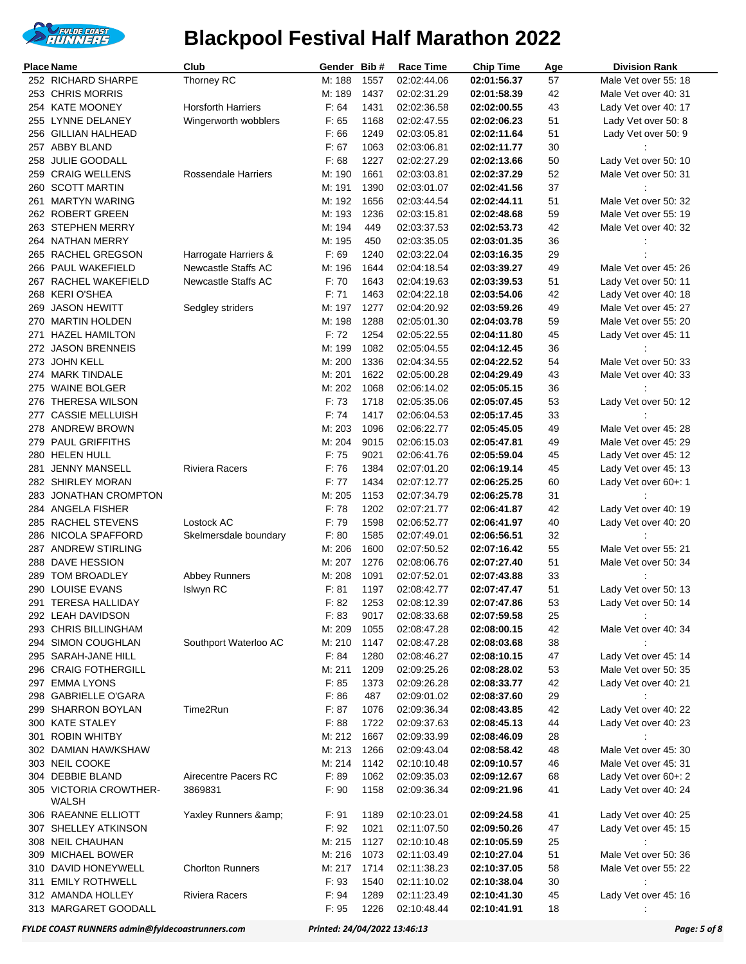

|     | <b>Place Name</b>      | Club                       | Gender Bib# |      | <b>Race Time</b> | <b>Chip Time</b> | Age | <b>Division Rank</b> |
|-----|------------------------|----------------------------|-------------|------|------------------|------------------|-----|----------------------|
|     | 252 RICHARD SHARPE     | Thorney RC                 | M: 188      | 1557 | 02:02:44.06      | 02:01:56.37      | 57  | Male Vet over 55: 18 |
|     | 253 CHRIS MORRIS       |                            | M: 189      | 1437 | 02:02:31.29      | 02:01:58.39      | 42  | Male Vet over 40: 31 |
|     | 254 KATE MOONEY        | <b>Horsforth Harriers</b>  | F: 64       | 1431 | 02:02:36.58      | 02:02:00.55      | 43  | Lady Vet over 40: 17 |
|     | 255 LYNNE DELANEY      | Wingerworth wobblers       | F: 65       | 1168 | 02:02:47.55      | 02:02:06.23      | 51  | Lady Vet over 50: 8  |
| 256 | <b>GILLIAN HALHEAD</b> |                            | F: 66       | 1249 | 02:03:05.81      | 02:02:11.64      | 51  | Lady Vet over 50: 9  |
|     | 257 ABBY BLAND         |                            | F: 67       | 1063 | 02:03:06.81      | 02:02:11.77      | 30  |                      |
| 258 | <b>JULIE GOODALL</b>   |                            | F: 68       | 1227 | 02:02:27.29      | 02:02:13.66      | 50  | Lady Vet over 50: 10 |
| 259 | <b>CRAIG WELLENS</b>   | <b>Rossendale Harriers</b> | M: 190      | 1661 | 02:03:03.81      | 02:02:37.29      | 52  | Male Vet over 50: 31 |
|     | 260 SCOTT MARTIN       |                            | M: 191      | 1390 | 02:03:01.07      | 02:02:41.56      | 37  |                      |
|     | 261 MARTYN WARING      |                            | M: 192      | 1656 | 02:03:44.54      | 02:02:44.11      | 51  | Male Vet over 50: 32 |
|     | 262 ROBERT GREEN       |                            | M: 193      | 1236 | 02:03:15.81      | 02:02:48.68      | 59  | Male Vet over 55: 19 |
|     | 263 STEPHEN MERRY      |                            | M: 194      | 449  | 02:03:37.53      | 02:02:53.73      | 42  | Male Vet over 40: 32 |
|     | 264 NATHAN MERRY       |                            | M: 195      | 450  | 02:03:35.05      | 02:03:01.35      | 36  |                      |
| 265 | RACHEL GREGSON         | Harrogate Harriers &       | F: 69       | 1240 | 02:03:22.04      | 02:03:16.35      | 29  |                      |
|     | 266 PAUL WAKEFIELD     | <b>Newcastle Staffs AC</b> | M: 196      | 1644 | 02:04:18.54      | 02:03:39.27      | 49  | Male Vet over 45: 26 |
|     | 267 RACHEL WAKEFIELD   | Newcastle Staffs AC        | F: 70       | 1643 | 02:04:19.63      | 02:03:39.53      | 51  | Lady Vet over 50: 11 |
|     | 268 KERI O'SHEA        |                            | F: 71       | 1463 | 02:04:22.18      | 02:03:54.06      | 42  | Lady Vet over 40: 18 |
|     |                        |                            |             |      |                  |                  |     |                      |
|     | 269 JASON HEWITT       | Sedgley striders           | M: 197      | 1277 | 02:04:20.92      | 02:03:59.26      | 49  | Male Vet over 45: 27 |
| 270 | MARTIN HOLDEN          |                            | M: 198      | 1288 | 02:05:01.30      | 02:04:03.78      | 59  | Male Vet over 55: 20 |
| 271 | <b>HAZEL HAMILTON</b>  |                            | F: 72       | 1254 | 02:05:22.55      | 02:04:11.80      | 45  | Lady Vet over 45: 11 |
|     | 272 JASON BRENNEIS     |                            | M: 199      | 1082 | 02:05:04.55      | 02:04:12.45      | 36  |                      |
|     | 273 JOHN KELL          |                            | M: 200      | 1336 | 02:04:34.55      | 02:04:22.52      | 54  | Male Vet over 50: 33 |
| 274 | <b>MARK TINDALE</b>    |                            | M: 201      | 1622 | 02:05:00.28      | 02:04:29.49      | 43  | Male Vet over 40: 33 |
| 275 | WAINE BOLGER           |                            | M: 202      | 1068 | 02:06:14.02      | 02:05:05.15      | 36  |                      |
| 276 | <b>THERESA WILSON</b>  |                            | F: 73       | 1718 | 02:05:35.06      | 02:05:07.45      | 53  | Lady Vet over 50: 12 |
|     | 277 CASSIE MELLUISH    |                            | F: 74       | 1417 | 02:06:04.53      | 02:05:17.45      | 33  |                      |
|     | 278 ANDREW BROWN       |                            | M: 203      | 1096 | 02:06:22.77      | 02:05:45.05      | 49  | Male Vet over 45: 28 |
| 279 | <b>PAUL GRIFFITHS</b>  |                            | M: 204      | 9015 | 02:06:15.03      | 02:05:47.81      | 49  | Male Vet over 45: 29 |
|     | 280 HELEN HULL         |                            | F: 75       | 9021 | 02:06:41.76      | 02:05:59.04      | 45  | Lady Vet over 45: 12 |
| 281 | JENNY MANSELL          | <b>Riviera Racers</b>      | F: 76       | 1384 | 02:07:01.20      | 02:06:19.14      | 45  | Lady Vet over 45: 13 |
|     | 282 SHIRLEY MORAN      |                            | F: 77       | 1434 | 02:07:12.77      | 02:06:25.25      | 60  | Lady Vet over 60+: 1 |
| 283 | JONATHAN CROMPTON      |                            | M: 205      | 1153 | 02:07:34.79      | 02:06:25.78      | 31  |                      |
|     | 284 ANGELA FISHER      |                            | F: 78       | 1202 | 02:07:21.77      | 02:06:41.87      | 42  | Lady Vet over 40: 19 |
|     | 285 RACHEL STEVENS     | Lostock AC                 | F: 79       | 1598 | 02:06:52.77      | 02:06:41.97      | 40  | Lady Vet over 40: 20 |
| 286 | NICOLA SPAFFORD        | Skelmersdale boundary      | F: 80       | 1585 | 02:07:49.01      | 02:06:56.51      | 32  |                      |
|     | 287 ANDREW STIRLING    |                            | M: 206      | 1600 | 02:07:50.52      | 02:07:16.42      | 55  | Male Vet over 55: 21 |
| 288 | DAVE HESSION           |                            | M: 207      | 1276 | 02:08:06.76      | 02:07:27.40      | 51  | Male Vet over 50: 34 |
| 289 | TOM BROADLEY           | <b>Abbey Runners</b>       | M: 208      | 1091 | 02:07:52.01      | 02:07:43.88      | 33  |                      |
|     | 290 LOUISE EVANS       | <b>Islwyn RC</b>           | F: 81       | 1197 | 02:08:42.77      | 02:07:47.47      | 51  | Lady Vet over 50: 13 |
|     | 291 TERESA HALLIDAY    |                            | F: 82       | 1253 | 02:08:12.39      | 02:07:47.86      | 53  | Lady Vet over 50: 14 |
|     | 292 LEAH DAVIDSON      |                            | F: 83       | 9017 | 02:08:33.68      | 02:07:59.58      | 25  |                      |
|     | 293 CHRIS BILLINGHAM   |                            | M: 209      | 1055 | 02:08:47.28      | 02:08:00.15      | 42  | Male Vet over 40: 34 |
|     | 294 SIMON COUGHLAN     | Southport Waterloo AC      | M: 210      | 1147 | 02:08:47.28      | 02:08:03.68      | 38  |                      |
|     | 295 SARAH-JANE HILL    |                            | F: 84       | 1280 | 02:08:46.27      | 02:08:10.15      | 47  | Lady Vet over 45: 14 |
|     | 296 CRAIG FOTHERGILL   |                            | M: 211      | 1209 | 02:09:25.26      | 02:08:28.02      | 53  | Male Vet over 50: 35 |
|     | 297 EMMA LYONS         |                            | F: 85       | 1373 | 02:09:26.28      | 02:08:33.77      | 42  | Lady Vet over 40: 21 |
|     | 298 GABRIELLE O'GARA   |                            | F: 86       | 487  | 02:09:01.02      | 02:08:37.60      | 29  |                      |
|     | 299 SHARRON BOYLAN     | Time2Run                   | F: 87       | 1076 | 02:09:36.34      | 02:08:43.85      | 42  | Lady Vet over 40: 22 |
|     | 300 KATE STALEY        |                            | F: 88       | 1722 | 02:09:37.63      | 02:08:45.13      | 44  | Lady Vet over 40: 23 |
| 301 | <b>ROBIN WHITBY</b>    |                            | M: 212      | 1667 | 02:09:33.99      | 02:08:46.09      | 28  |                      |
|     | 302 DAMIAN HAWKSHAW    |                            | M: 213      | 1266 | 02:09:43.04      | 02:08:58.42      | 48  | Male Vet over 45: 30 |
|     | 303 NEIL COOKE         |                            | M: 214      | 1142 | 02:10:10.48      | 02:09:10.57      | 46  | Male Vet over 45: 31 |
|     | 304 DEBBIE BLAND       | Airecentre Pacers RC       | F: 89       | 1062 | 02:09:35.03      | 02:09:12.67      | 68  | Lady Vet over 60+: 2 |
|     | 305 VICTORIA CROWTHER- | 3869831                    | F: 90       | 1158 | 02:09:36.34      | 02:09:21.96      | 41  | Lady Vet over 40: 24 |
|     | WALSH                  |                            |             |      |                  |                  |     |                      |
|     | 306 RAEANNE ELLIOTT    | Yaxley Runners &           | F: 91       | 1189 | 02:10:23.01      | 02:09:24.58      | 41  | Lady Vet over 40: 25 |
|     | 307 SHELLEY ATKINSON   |                            | F: 92       | 1021 | 02:11:07.50      | 02:09:50.26      | 47  | Lady Vet over 45: 15 |
|     | 308 NEIL CHAUHAN       |                            | M: 215      | 1127 | 02:10:10.48      | 02:10:05.59      | 25  |                      |
| 309 | MICHAEL BOWER          |                            | M: 216      | 1073 | 02:11:03.49      | 02:10:27.04      | 51  | Male Vet over 50: 36 |
|     | 310 DAVID HONEYWELL    | <b>Chorlton Runners</b>    | M: 217      | 1714 | 02:11:38.23      | 02:10:37.05      | 58  | Male Vet over 55: 22 |
| 311 | <b>EMILY ROTHWELL</b>  |                            | F: 93       | 1540 | 02:11:10.02      | 02:10:38.04      | 30  |                      |
|     | 312 AMANDA HOLLEY      | <b>Riviera Racers</b>      | F: 94       | 1289 | 02:11:23.49      | 02:10:41.30      | 45  | Lady Vet over 45: 16 |
|     | 313 MARGARET GOODALL   |                            | F: 95       | 1226 | 02:10:48.44      | 02:10:41.91      | 18  |                      |

*FYLDE COAST RUNNERS admin@fyldecoastrunners.com Printed: 24/04/2022 13:46:13 Page: 5 of 8*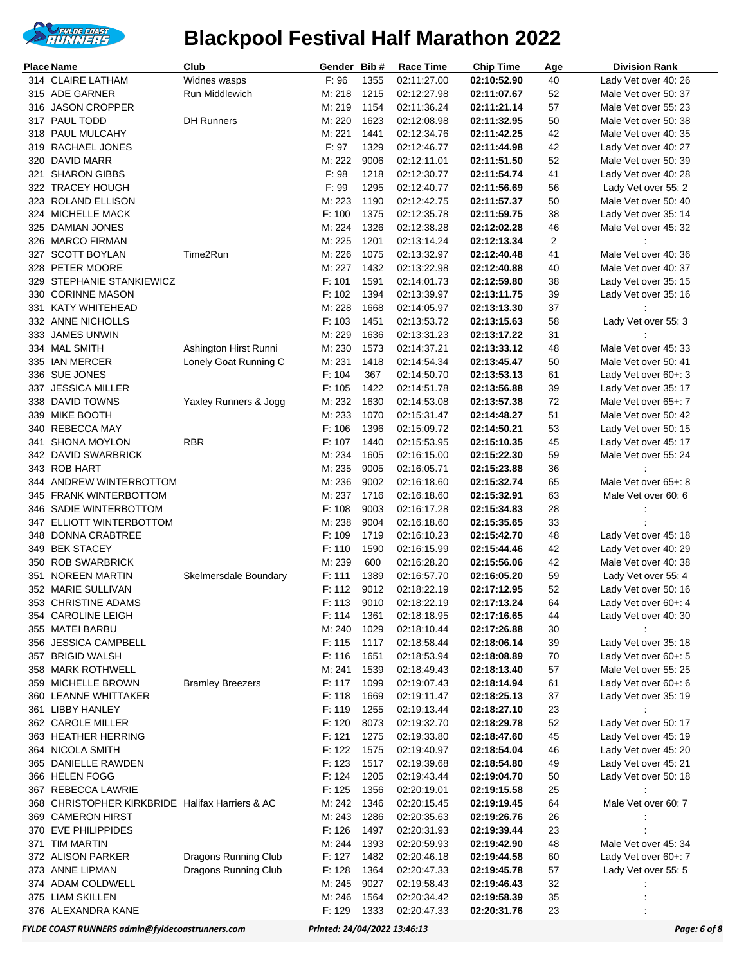

|     | Place Name                                      | Club                    | Gender           | Bib#         | <b>Race Time</b>           | <b>Chip Time</b>           | Age      | <b>Division Rank</b> |
|-----|-------------------------------------------------|-------------------------|------------------|--------------|----------------------------|----------------------------|----------|----------------------|
|     | 314 CLAIRE LATHAM                               | Widnes wasps            | F: 96            | 1355         | 02:11:27.00                | 02:10:52.90                | 40       | Lady Vet over 40: 26 |
|     | 315 ADE GARNER                                  | Run Middlewich          | M: 218           | 1215         | 02:12:27.98                | 02:11:07.67                | 52       | Male Vet over 50: 37 |
| 316 | <b>JASON CROPPER</b>                            |                         | M: 219           | 1154         | 02:11:36.24                | 02:11:21.14                | 57       | Male Vet over 55: 23 |
|     | 317 PAUL TODD                                   | <b>DH Runners</b>       | M: 220           | 1623         | 02:12:08.98                | 02:11:32.95                | 50       | Male Vet over 50: 38 |
|     | 318 PAUL MULCAHY                                |                         | M: 221           | 1441         | 02:12:34.76                | 02:11:42.25                | 42       | Male Vet over 40: 35 |
|     | 319 RACHAEL JONES                               |                         | F: 97            | 1329         | 02:12:46.77                | 02:11:44.98                | 42       | Lady Vet over 40: 27 |
|     | 320 DAVID MARR                                  |                         | M: 222           | 9006         | 02:12:11.01                | 02:11:51.50                | 52       | Male Vet over 50: 39 |
|     | 321 SHARON GIBBS                                |                         | F: 98            | 1218         | 02:12:30.77                | 02:11:54.74                | 41       | Lady Vet over 40: 28 |
|     | 322 TRACEY HOUGH                                |                         | F: 99            | 1295         | 02:12:40.77                | 02:11:56.69                | 56       | Lady Vet over 55: 2  |
|     | 323 ROLAND ELLISON                              |                         | M: 223           | 1190         | 02:12:42.75                | 02:11:57.37                | 50       | Male Vet over 50: 40 |
|     | 324 MICHELLE MACK                               |                         | F: 100           | 1375         | 02:12:35.78                | 02:11:59.75                | 38       | Lady Vet over 35: 14 |
|     | 325 DAMIAN JONES                                |                         | M: 224           | 1326         | 02:12:38.28                | 02:12:02.28                | 46       | Male Vet over 45: 32 |
|     | 326 MARCO FIRMAN                                |                         | M: 225           | 1201         | 02:13:14.24                | 02:12:13.34                | 2        |                      |
|     | 327 SCOTT BOYLAN                                | Time2Run                | M: 226           | 1075         | 02:13:32.97                | 02:12:40.48                | 41       | Male Vet over 40: 36 |
|     | 328 PETER MOORE                                 |                         | M: 227           | 1432         | 02:13:22.98                | 02:12:40.88                | 40       | Male Vet over 40: 37 |
|     | 329 STEPHANIE STANKIEWICZ                       |                         | F: 101           | 1591         | 02:14:01.73                | 02:12:59.80                | 38       | Lady Vet over 35: 15 |
|     | 330 CORINNE MASON                               |                         | F: 102           | 1394         | 02:13:39.97                | 02:13:11.75                | 39       | Lady Vet over 35: 16 |
|     | 331 KATY WHITEHEAD                              |                         | M: 228           | 1668         | 02:14:05.97                | 02:13:13.30                | 37       |                      |
|     | 332 ANNE NICHOLLS                               |                         | F: 103           | 1451         | 02:13:53.72                | 02:13:15.63                | 58       | Lady Vet over 55: 3  |
|     | 333 JAMES UNWIN                                 |                         | M: 229           | 1636         | 02:13:31.23                | 02:13:17.22                | 31       |                      |
|     | 334 MAL SMITH                                   | Ashington Hirst Runni   | M: 230           | 1573         | 02:14:37.21                | 02:13:33.12                | 48       | Male Vet over 45: 33 |
|     | 335 IAN MERCER                                  | Lonely Goat Running C   | M: 231           | 1418         | 02:14:54.34                | 02:13:45.47                | 50       | Male Vet over 50: 41 |
|     | 336 SUE JONES                                   |                         | F: 104           | 367          | 02:14:50.70                | 02:13:53.13                | 61       | Lady Vet over 60+: 3 |
|     | 337 JESSICA MILLER                              |                         | F: 105           | 1422         | 02:14:51.78                | 02:13:56.88                | 39       | Lady Vet over 35: 17 |
|     | 338 DAVID TOWNS                                 | Yaxley Runners & Jogg   | M: 232           | 1630         | 02:14:53.08                | 02:13:57.38                | $72\,$   | Male Vet over 65+: 7 |
|     | 339 MIKE BOOTH                                  |                         | M: 233           | 1070         | 02:15:31.47                | 02:14:48.27                | 51       | Male Vet over 50: 42 |
| 340 | <b>REBECCA MAY</b>                              |                         | F: 106           | 1396         | 02:15:09.72                | 02:14:50.21                | 53       | Lady Vet over 50: 15 |
| 341 | <b>SHONA MOYLON</b>                             | <b>RBR</b>              | F: 107           | 1440         | 02:15:53.95                | 02:15:10.35                | 45       | Lady Vet over 45: 17 |
|     | 342 DAVID SWARBRICK                             |                         | M: 234           | 1605         | 02:16:15.00                | 02:15:22.30                | 59       | Male Vet over 55: 24 |
|     | 343 ROB HART                                    |                         | M: 235           | 9005         | 02:16:05.71                | 02:15:23.88                | 36       |                      |
|     | 344 ANDREW WINTERBOTTOM                         |                         | M: 236           | 9002         | 02:16:18.60                | 02:15:32.74                | 65       | Male Vet over 65+: 8 |
|     | 345 FRANK WINTERBOTTOM                          |                         | M: 237           | 1716         | 02:16:18.60                | 02:15:32.91                | 63       | Male Vet over 60: 6  |
|     | 346 SADIE WINTERBOTTOM                          |                         | F: 108           | 9003<br>9004 | 02:16:17.28                | 02:15:34.83                | 28       |                      |
|     | 347 ELLIOTT WINTERBOTTOM<br>348 DONNA CRABTREE  |                         | M: 238<br>F: 109 | 1719         | 02:16:18.60<br>02:16:10.23 | 02:15:35.65<br>02:15:42.70 | 33       | Lady Vet over 45: 18 |
|     | 349 BEK STACEY                                  |                         | F: 110           | 1590         | 02:16:15.99                | 02:15:44.46                | 48<br>42 | Lady Vet over 40: 29 |
|     | 350 ROB SWARBRICK                               |                         | M: 239           | 600          | 02:16:28.20                | 02:15:56.06                | 42       | Male Vet over 40: 38 |
| 351 | NOREEN MARTIN                                   | Skelmersdale Boundary   | F: 111           | 1389         | 02:16:57.70                | 02:16:05.20                | 59       | Lady Vet over 55: 4  |
|     | 352 MARIE SULLIVAN                              |                         | F: 112           | 9012         | 02:18:22.19                | 02:17:12.95                | 52       | Lady Vet over 50: 16 |
|     | 353 CHRISTINE ADAMS                             |                         | F: 113           | 9010         | 02:18:22.19                | 02:17:13.24                | 64       | Lady Vet over 60+: 4 |
|     | 354 CAROLINE LEIGH                              |                         | F: 114           | 1361         | 02:18:18.95                | 02:17:16.65                | 44       | Lady Vet over 40: 30 |
|     | 355 MATEI BARBU                                 |                         | M: 240           | 1029         | 02:18:10.44                | 02:17:26.88                | 30       |                      |
|     | 356 JESSICA CAMPBELL                            |                         | F: 115           | 1117         | 02:18:58.44                | 02:18:06.14                | 39       | Lady Vet over 35: 18 |
|     | 357 BRIGID WALSH                                |                         | F: 116           | 1651         | 02:18:53.94                | 02:18:08.89                | 70       | Lady Vet over 60+: 5 |
|     | 358 MARK ROTHWELL                               |                         | M: 241           | 1539         | 02:18:49.43                | 02:18:13.40                | 57       | Male Vet over 55: 25 |
|     | 359 MICHELLE BROWN                              | <b>Bramley Breezers</b> | F: 117           | 1099         | 02:19:07.43                | 02:18:14.94                | 61       | Lady Vet over 60+: 6 |
|     | 360 LEANNE WHITTAKER                            |                         | F: 118           | 1669         | 02:19:11.47                | 02:18:25.13                | 37       | Lady Vet over 35: 19 |
|     | 361 LIBBY HANLEY                                |                         | F: 119           | 1255         | 02:19:13.44                | 02:18:27.10                | 23       |                      |
|     | 362 CAROLE MILLER                               |                         | F: 120           | 8073         | 02:19:32.70                | 02:18:29.78                | 52       | Lady Vet over 50: 17 |
|     | 363 HEATHER HERRING                             |                         | F: 121           | 1275         | 02:19:33.80                | 02:18:47.60                | 45       | Lady Vet over 45: 19 |
|     | 364 NICOLA SMITH                                |                         | F: 122           | 1575         | 02:19:40.97                | 02:18:54.04                | 46       | Lady Vet over 45: 20 |
|     | 365 DANIELLE RAWDEN                             |                         | F: 123           | 1517         | 02:19:39.68                | 02:18:54.80                | 49       | Lady Vet over 45: 21 |
|     | 366 HELEN FOGG                                  |                         | F: 124           | 1205         | 02:19:43.44                | 02:19:04.70                | 50       | Lady Vet over 50: 18 |
|     | 367 REBECCA LAWRIE                              |                         | F: 125           | 1356         | 02:20:19.01                | 02:19:15.58                | 25       |                      |
|     | 368 CHRISTOPHER KIRKBRIDE Halifax Harriers & AC |                         | M: 242           | 1346         | 02:20:15.45                | 02:19:19.45                | 64       | Male Vet over 60: 7  |
|     | 369 CAMERON HIRST                               |                         | M: 243           | 1286         | 02:20:35.63                | 02:19:26.76                | 26       |                      |
|     | 370 EVE PHILIPPIDES                             |                         | F: 126           | 1497         | 02:20:31.93                | 02:19:39.44                | 23       |                      |
|     | 371 TIM MARTIN                                  |                         | M: 244           | 1393         | 02:20:59.93                | 02:19:42.90                | 48       | Male Vet over 45: 34 |
|     | 372 ALISON PARKER                               | Dragons Running Club    | F: 127           | 1482         | 02:20:46.18                | 02:19:44.58                | 60       | Lady Vet over 60+: 7 |
|     | 373 ANNE LIPMAN                                 | Dragons Running Club    | F: 128           | 1364         | 02:20:47.33                | 02:19:45.78                | 57       | Lady Vet over 55: 5  |
|     | 374 ADAM COLDWELL                               |                         | M: 245           | 9027         | 02:19:58.43                | 02:19:46.43                | 32       |                      |
|     | 375 LIAM SKILLEN                                |                         | M: 246           | 1564         | 02:20:34.42                | 02:19:58.39                | 35       |                      |
|     | 376 ALEXANDRA KANE                              |                         | F: 129           | 1333         | 02:20:47.33                | 02:20:31.76                | 23       |                      |

*FYLDE COAST RUNNERS admin@fyldecoastrunners.com Printed: 24/04/2022 13:46:13 Page: 6 of 8*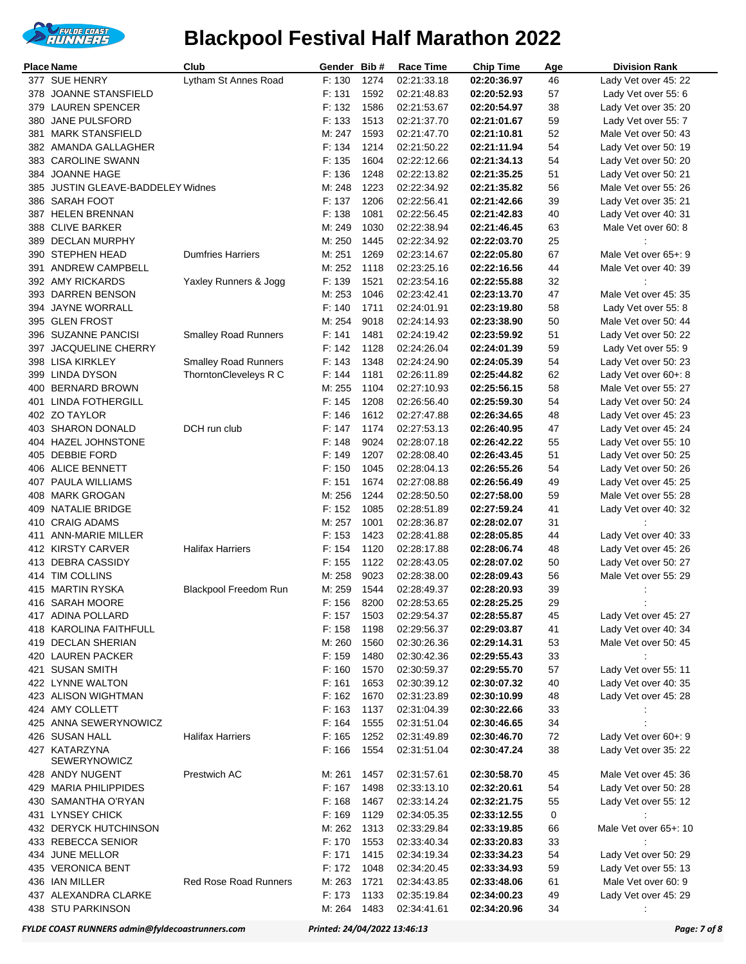

|     | Place Name                                  | Club                        | Gender Bib#      |              | Race Time                  | <b>Chip Time</b>           | Age      | <b>Division Rank</b>                         |
|-----|---------------------------------------------|-----------------------------|------------------|--------------|----------------------------|----------------------------|----------|----------------------------------------------|
|     | 377 SUE HENRY                               | Lytham St Annes Road        | F: 130           | 1274         | 02:21:33.18                | 02:20:36.97                | 46       | Lady Vet over 45: 22                         |
|     | 378 JOANNE STANSFIELD                       |                             | F: 131           | 1592         | 02:21:48.83                | 02:20:52.93                | 57       | Lady Vet over 55: 6                          |
| 379 | <b>LAUREN SPENCER</b>                       |                             | F: 132           | 1586         | 02:21:53.67                | 02:20:54.97                | 38       | Lady Vet over 35: 20                         |
| 380 | JANE PULSFORD                               |                             | F: 133           | 1513         | 02:21:37.70                | 02:21:01.67                | 59       | Lady Vet over 55: 7                          |
|     | 381 MARK STANSFIELD                         |                             | M: 247           | 1593         | 02:21:47.70                | 02:21:10.81                | 52       | Male Vet over 50: 43                         |
|     | 382 AMANDA GALLAGHER                        |                             | F: 134           | 1214         | 02:21:50.22                | 02:21:11.94                | 54       | Lady Vet over 50: 19                         |
|     | 383 CAROLINE SWANN                          |                             | F: 135           | 1604         | 02:22:12.66                | 02:21:34.13                | 54       | Lady Vet over 50: 20                         |
|     | 384 JOANNE HAGE                             |                             | F: 136           | 1248         | 02:22:13.82                | 02:21:35.25                | 51       | Lady Vet over 50: 21                         |
| 385 | JUSTIN GLEAVE-BADDELEY Widnes               |                             | M: 248           | 1223         | 02:22:34.92                | 02:21:35.82                | 56       | Male Vet over 55: 26                         |
|     | 386 SARAH FOOT                              |                             | F: 137           | 1206         | 02:22:56.41                | 02:21:42.66                | 39       | Lady Vet over 35: 21                         |
|     | 387 HELEN BRENNAN                           |                             | F: 138           | 1081         | 02:22:56.45                | 02:21:42.83                | 40       | Lady Vet over 40: 31                         |
|     | 388 CLIVE BARKER                            |                             | M: 249           | 1030         | 02:22:38.94                | 02:21:46.45                | 63       | Male Vet over 60: 8                          |
|     | 389 DECLAN MURPHY                           |                             | M: 250           | 1445         | 02:22:34.92                | 02:22:03.70                | 25       |                                              |
|     | 390 STEPHEN HEAD                            | <b>Dumfries Harriers</b>    | M: 251           | 1269         | 02:23:14.67                | 02:22:05.80                | 67       | Male Vet over 65+: 9                         |
|     | 391 ANDREW CAMPBELL<br>392 AMY RICKARDS     |                             | M: 252<br>F: 139 | 1118<br>1521 | 02:23:25.16                | 02:22:16.56                | 44       | Male Vet over 40: 39                         |
|     | 393 DARREN BENSON                           | Yaxley Runners & Jogg       | M: 253           | 1046         | 02:23:54.16<br>02:23:42.41 | 02:22:55.88<br>02:23:13.70 | 32<br>47 | Male Vet over 45: 35                         |
|     | 394 JAYNE WORRALL                           |                             | F: 140           | 1711         | 02:24:01.91                | 02:23:19.80                | 58       | Lady Vet over 55: 8                          |
|     | 395 GLEN FROST                              |                             | M: 254           | 9018         | 02:24:14.93                | 02:23:38.90                | 50       | Male Vet over 50: 44                         |
|     | 396 SUZANNE PANCISI                         | <b>Smalley Road Runners</b> | F: 141           | 1481         | 02:24:19.42                | 02:23:59.92                | 51       | Lady Vet over 50: 22                         |
| 397 | <b>JACQUELINE CHERRY</b>                    |                             | F: 142           | 1128         | 02:24:26.04                | 02:24:01.39                | 59       | Lady Vet over 55: 9                          |
|     | 398 LISA KIRKLEY                            | <b>Smalley Road Runners</b> | F: 143           | 1348         | 02:24:24.90                | 02:24:05.39                | 54       | Lady Vet over 50: 23                         |
|     | 399 LINDA DYSON                             | ThorntonCleveleys R C       | F: 144           | 1181         | 02:26:11.89                | 02:25:44.82                | 62       | Lady Vet over 60+: 8                         |
| 400 | <b>BERNARD BROWN</b>                        |                             | M: 255           | 1104         | 02:27:10.93                | 02:25:56.15                | 58       | Male Vet over 55: 27                         |
| 401 | LINDA FOTHERGILL                            |                             | F: 145           | 1208         | 02:26:56.40                | 02:25:59.30                | 54       | Lady Vet over 50: 24                         |
|     | 402 ZO TAYLOR                               |                             | F: 146           | 1612         | 02:27:47.88                | 02:26:34.65                | 48       | Lady Vet over 45: 23                         |
|     | 403 SHARON DONALD                           | DCH run club                | F: 147           | 1174         | 02:27:53.13                | 02:26:40.95                | 47       | Lady Vet over 45: 24                         |
|     | 404 HAZEL JOHNSTONE                         |                             | F: 148           | 9024         | 02:28:07.18                | 02:26:42.22                | 55       | Lady Vet over 55: 10                         |
|     | 405 DEBBIE FORD                             |                             | F: 149           | 1207         | 02:28:08.40                | 02:26:43.45                | 51       | Lady Vet over 50: 25                         |
| 406 | ALICE BENNETT                               |                             | F: 150           | 1045         | 02:28:04.13                | 02:26:55.26                | 54       | Lady Vet over 50: 26                         |
|     | 407 PAULA WILLIAMS                          |                             | F: 151           | 1674         | 02:27:08.88                | 02:26:56.49                | 49       | Lady Vet over 45: 25                         |
|     | 408 MARK GROGAN                             |                             | M: 256           | 1244         | 02:28:50.50                | 02:27:58.00                | 59       | Male Vet over 55: 28                         |
| 409 | NATALIE BRIDGE                              |                             | F: 152           | 1085         | 02:28:51.89                | 02:27:59.24                | 41       | Lady Vet over 40: 32                         |
| 410 | <b>CRAIG ADAMS</b>                          |                             | M: 257           | 1001         | 02:28:36.87                | 02:28:02.07                | 31       |                                              |
| 411 | ANN-MARIE MILLER                            |                             | F: 153           | 1423         | 02:28:41.88                | 02:28:05.85                | 44       | Lady Vet over 40: 33                         |
|     | 412 KIRSTY CARVER                           | <b>Halifax Harriers</b>     | F: 154           | 1120         | 02:28:17.88                | 02:28:06.74                | 48       | Lady Vet over 45: 26                         |
|     | 413 DEBRA CASSIDY                           |                             | F: 155           | 1122         | 02:28:43.05                | 02:28:07.02                | 50       | Lady Vet over 50: 27                         |
| 414 | TIM COLLINS                                 |                             | M: 258           | 9023         | 02:28:38.00                | 02:28:09.43                | 56       | Male Vet over 55: 29                         |
|     | 415 MARTIN RYSKA                            | Blackpool Freedom Run       | M: 259           | 1544         | 02:28:49.37                | 02:28:20.93                | 39       |                                              |
|     | 416 SARAH MOORE                             |                             | F: 156           | 8200         | 02:28:53.65                | 02:28:25.25                | 29       |                                              |
|     | 417 ADINA POLLARD<br>418 KAROLINA FAITHFULL |                             | F: 157<br>F: 158 | 1503<br>1198 | 02:29:54.37                | 02:28:55.87                | 45       | Lady Vet over 45: 27<br>Lady Vet over 40: 34 |
|     | 419 DECLAN SHERIAN                          |                             | M: 260           | 1560         | 02:29:56.37<br>02:30:26.36 | 02:29:03.87<br>02:29:14.31 | 41<br>53 | Male Vet over 50: 45                         |
|     | 420 LAUREN PACKER                           |                             | F: 159           | 1480         | 02:30:42.36                | 02:29:55.43                | 33       |                                              |
|     | 421 SUSAN SMITH                             |                             | F: 160           | 1570         | 02:30:59.37                | 02:29:55.70                | 57       | Lady Vet over 55: 11                         |
|     | 422 LYNNE WALTON                            |                             | F: 161           | 1653         | 02:30:39.12                | 02:30:07.32                | 40       | Lady Vet over 40: 35                         |
|     | 423 ALISON WIGHTMAN                         |                             | F: 162           | 1670         | 02:31:23.89                | 02:30:10.99                | 48       | Lady Vet over 45: 28                         |
|     | 424 AMY COLLETT                             |                             | F: 163           | 1137         | 02:31:04.39                | 02:30:22.66                | 33       |                                              |
|     | 425 ANNA SEWERYNOWICZ                       |                             | F: 164           | 1555         | 02:31:51.04                | 02:30:46.65                | 34       |                                              |
|     | 426 SUSAN HALL                              | <b>Halifax Harriers</b>     | F: 165           | 1252         | 02:31:49.89                | 02:30:46.70                | 72       | Lady Vet over 60+: 9                         |
|     | 427 KATARZYNA                               |                             | F: 166           | 1554         | 02:31:51.04                | 02:30:47.24                | 38       | Lady Vet over 35: 22                         |
|     | <b>SEWERYNOWICZ</b>                         |                             |                  |              |                            |                            |          |                                              |
|     | 428 ANDY NUGENT                             | Prestwich AC                | M: 261           | 1457         | 02:31:57.61                | 02:30:58.70                | 45       | Male Vet over 45: 36                         |
|     | 429 MARIA PHILIPPIDES                       |                             | F: 167           | 1498         | 02:33:13.10                | 02:32:20.61                | 54       | Lady Vet over 50: 28                         |
|     | 430 SAMANTHA O'RYAN                         |                             | F: 168           | 1467         | 02:33:14.24                | 02:32:21.75                | 55       | Lady Vet over 55: 12                         |
|     | 431 LYNSEY CHICK                            |                             | F: 169           | 1129         | 02:34:05.35                | 02:33:12.55                | 0        | ÷                                            |
|     | 432 DERYCK HUTCHINSON<br>433 REBECCA SENIOR |                             | M: 262<br>F: 170 | 1313<br>1553 | 02:33:29.84<br>02:33:40.34 | 02:33:19.85<br>02:33:20.83 | 66<br>33 | Male Vet over 65+: 10                        |
|     | 434 JUNE MELLOR                             |                             | F: 171           | 1415         | 02:34:19.34                | 02:33:34.23                | 54       | Lady Vet over 50: 29                         |
|     | 435 VERONICA BENT                           |                             | F: 172           | 1048         | 02:34:20.45                | 02:33:34.93                | 59       | Lady Vet over 55: 13                         |
|     | 436 IAN MILLER                              | Red Rose Road Runners       | M: 263           | 1721         | 02:34:43.85                | 02:33:48.06                | 61       | Male Vet over 60: 9                          |
|     | 437 ALEXANDRA CLARKE                        |                             | F: 173           | 1133         | 02:35:19.84                | 02:34:00.23                | 49       | Lady Vet over 45: 29                         |
|     | 438 STU PARKINSON                           |                             | M: 264           | 1483         | 02:34:41.61                | 02:34:20.96                | 34       | ÷                                            |
|     |                                             |                             |                  |              |                            |                            |          |                                              |